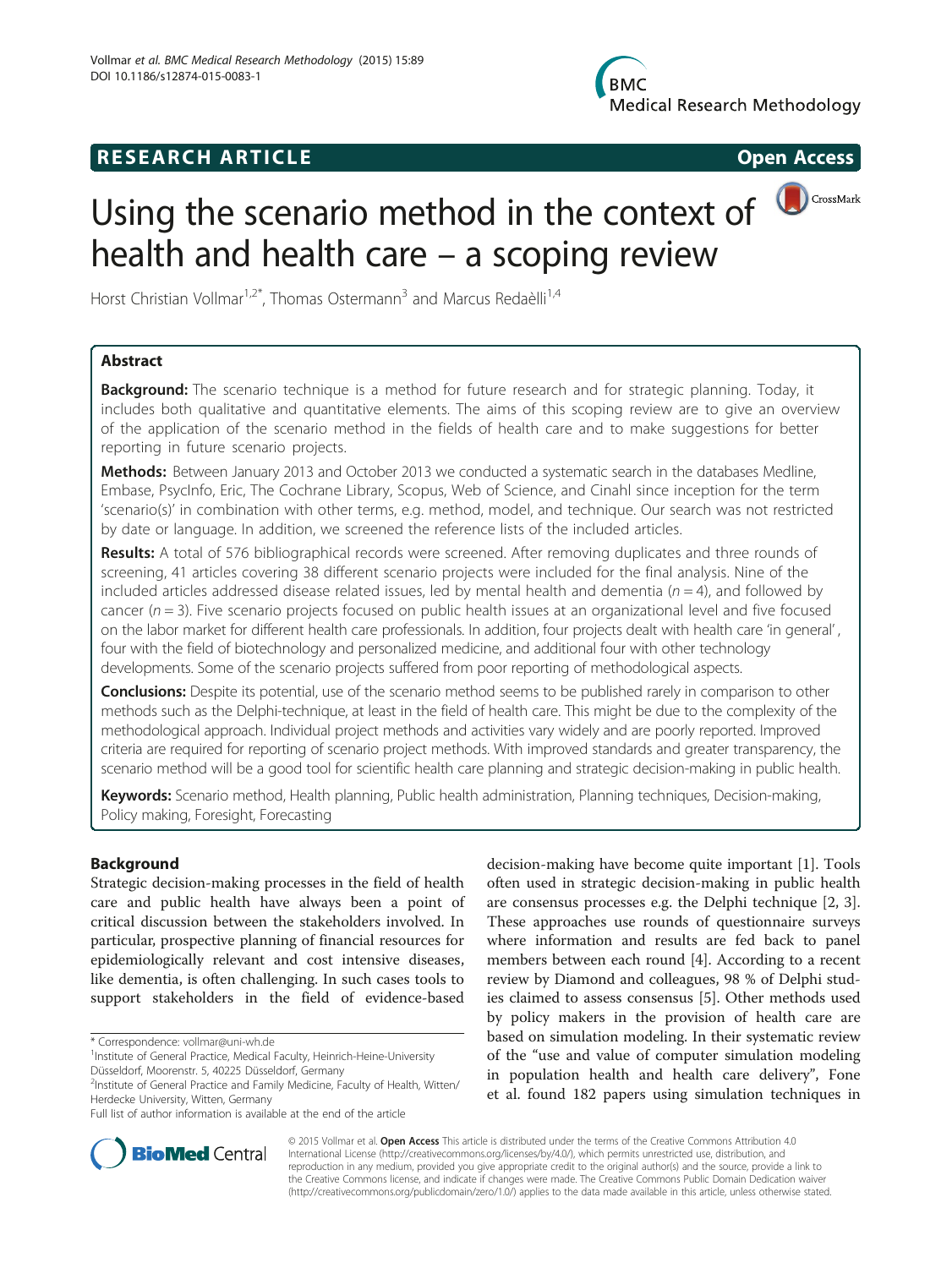## **RESEARCH ARTICLE Example 2014 CONSIDERING CONSIDERING CONSIDERING CONSIDERING CONSIDERING CONSIDERING CONSIDERING CONSIDERING CONSIDERING CONSIDERING CONSIDERING CONSIDERING CONSIDERING CONSIDERING CONSIDERING CONSIDE**

# Using the scenario method in the context of  $\bigcirc$  CrossMark health and health care – a scoping review

Horst Christian Vollmar<sup>1,2\*</sup>, Thomas Ostermann<sup>3</sup> and Marcus Redaèlli<sup>1,4</sup>

## Abstract

**Background:** The scenario technique is a method for future research and for strategic planning. Today, it includes both qualitative and quantitative elements. The aims of this scoping review are to give an overview of the application of the scenario method in the fields of health care and to make suggestions for better reporting in future scenario projects.

Methods: Between January 2013 and October 2013 we conducted a systematic search in the databases Medline, Embase, PsycInfo, Eric, The Cochrane Library, Scopus, Web of Science, and Cinahl since inception for the term 'scenario(s)' in combination with other terms, e.g. method, model, and technique. Our search was not restricted by date or language. In addition, we screened the reference lists of the included articles.

Results: A total of 576 bibliographical records were screened. After removing duplicates and three rounds of screening, 41 articles covering 38 different scenario projects were included for the final analysis. Nine of the included articles addressed disease related issues, led by mental health and dementia ( $n = 4$ ), and followed by cancer ( $n = 3$ ). Five scenario projects focused on public health issues at an organizational level and five focused on the labor market for different health care professionals. In addition, four projects dealt with health care 'in general' , four with the field of biotechnology and personalized medicine, and additional four with other technology developments. Some of the scenario projects suffered from poor reporting of methodological aspects.

Conclusions: Despite its potential, use of the scenario method seems to be published rarely in comparison to other methods such as the Delphi-technique, at least in the field of health care. This might be due to the complexity of the methodological approach. Individual project methods and activities vary widely and are poorly reported. Improved criteria are required for reporting of scenario project methods. With improved standards and greater transparency, the scenario method will be a good tool for scientific health care planning and strategic decision-making in public health.

Keywords: Scenario method, Health planning, Public health administration, Planning techniques, Decision-making, Policy making, Foresight, Forecasting

## Background

Strategic decision-making processes in the field of health care and public health have always been a point of critical discussion between the stakeholders involved. In particular, prospective planning of financial resources for epidemiologically relevant and cost intensive diseases, like dementia, is often challenging. In such cases tools to support stakeholders in the field of evidence-based

decision-making have become quite important [\[1](#page-7-0)]. Tools often used in strategic decision-making in public health are consensus processes e.g. the Delphi technique [[2, 3](#page-8-0)]. These approaches use rounds of questionnaire surveys where information and results are fed back to panel members between each round [\[4](#page-8-0)]. According to a recent review by Diamond and colleagues, 98 % of Delphi studies claimed to assess consensus [\[5](#page-8-0)]. Other methods used by policy makers in the provision of health care are based on simulation modeling. In their systematic review of the "use and value of computer simulation modeling in population health and health care delivery", Fone et al. found 182 papers using simulation techniques in



© 2015 Vollmar et al. Open Access This article is distributed under the terms of the Creative Commons Attribution 4.0 International License [\(http://creativecommons.org/licenses/by/4.0/](http://creativecommons.org/licenses/by/4.0/)), which permits unrestricted use, distribution, and reproduction in any medium, provided you give appropriate credit to the original author(s) and the source, provide a link to the Creative Commons license, and indicate if changes were made. The Creative Commons Public Domain Dedication waiver [\(http://creativecommons.org/publicdomain/zero/1.0/](http://creativecommons.org/publicdomain/zero/1.0/)) applies to the data made available in this article, unless otherwise stated.

<sup>\*</sup> Correspondence: [vollmar@uni-wh.de](mailto:vollmar@uni-wh.de) <sup>1</sup>

<sup>&</sup>lt;sup>1</sup> Institute of General Practice, Medical Faculty, Heinrich-Heine-University

Düsseldorf, Moorenstr. 5, 40225 Düsseldorf, Germany <sup>2</sup>Institute of General Practice and Family Medicine, Faculty of Health, Witten/

Herdecke University, Witten, Germany

Full list of author information is available at the end of the article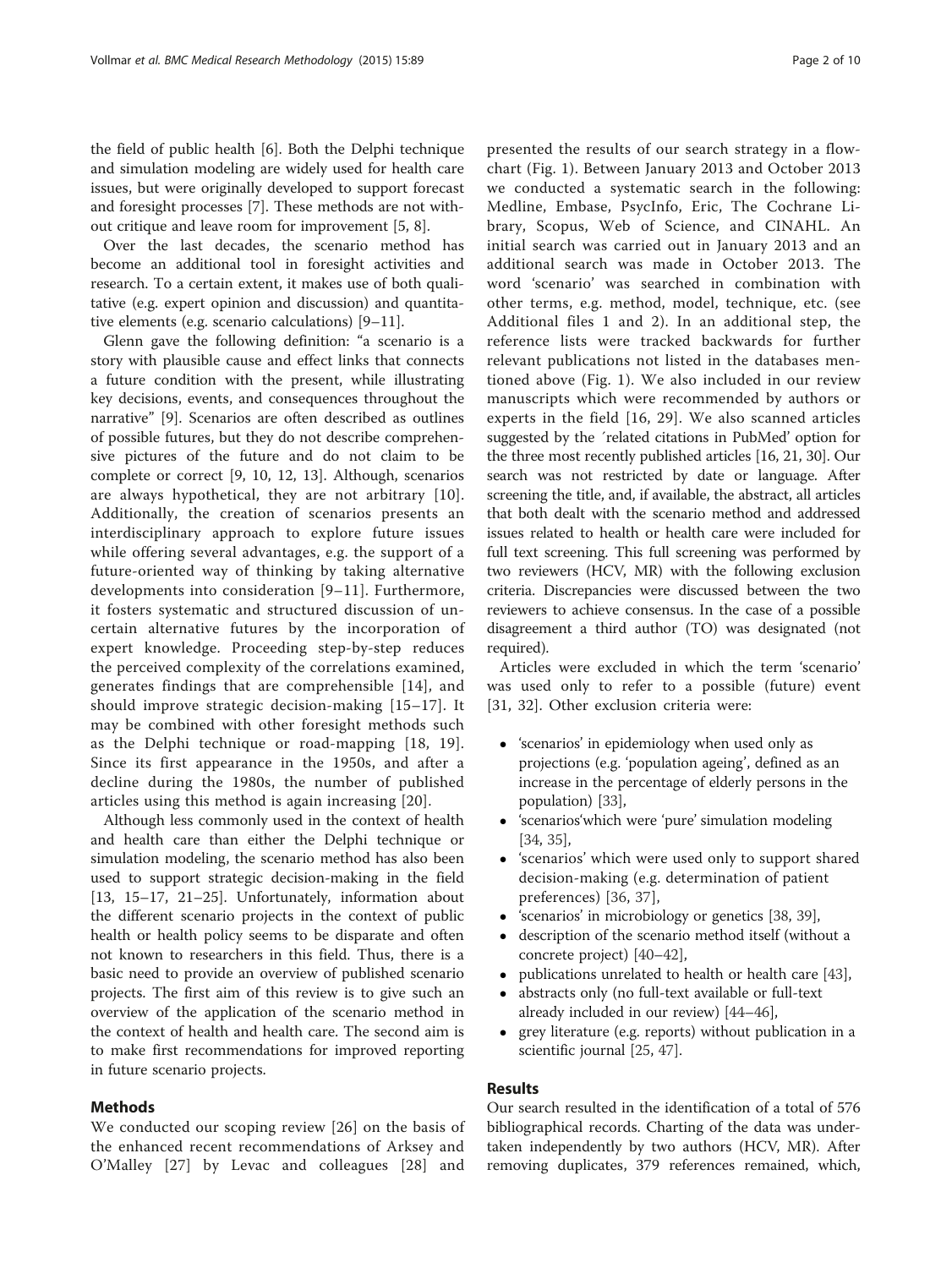<span id="page-1-0"></span>the field of public health [\[6](#page-8-0)]. Both the Delphi technique and simulation modeling are widely used for health care issues, but were originally developed to support forecast and foresight processes [\[7\]](#page-8-0). These methods are not without critique and leave room for improvement [\[5, 8\]](#page-8-0).

Over the last decades, the scenario method has become an additional tool in foresight activities and research. To a certain extent, it makes use of both qualitative (e.g. expert opinion and discussion) and quantitative elements (e.g. scenario calculations) [\[9](#page-8-0)–[11\]](#page-8-0).

Glenn gave the following definition: "a scenario is a story with plausible cause and effect links that connects a future condition with the present, while illustrating key decisions, events, and consequences throughout the narrative" [[9\]](#page-8-0). Scenarios are often described as outlines of possible futures, but they do not describe comprehensive pictures of the future and do not claim to be complete or correct [[9, 10, 12](#page-8-0), [13](#page-8-0)]. Although, scenarios are always hypothetical, they are not arbitrary [[10](#page-8-0)]. Additionally, the creation of scenarios presents an interdisciplinary approach to explore future issues while offering several advantages, e.g. the support of a future-oriented way of thinking by taking alternative developments into consideration [[9](#page-8-0)–[11](#page-8-0)]. Furthermore, it fosters systematic and structured discussion of uncertain alternative futures by the incorporation of expert knowledge. Proceeding step-by-step reduces the perceived complexity of the correlations examined, generates findings that are comprehensible [[14\]](#page-8-0), and should improve strategic decision-making [\[15](#page-8-0)–[17\]](#page-8-0). It may be combined with other foresight methods such as the Delphi technique or road-mapping [\[18, 19](#page-8-0)]. Since its first appearance in the 1950s, and after a decline during the 1980s, the number of published articles using this method is again increasing [\[20\]](#page-8-0).

Although less commonly used in the context of health and health care than either the Delphi technique or simulation modeling, the scenario method has also been used to support strategic decision-making in the field [[13, 15](#page-8-0)–[17](#page-8-0), [21](#page-8-0)–[25\]](#page-8-0). Unfortunately, information about the different scenario projects in the context of public health or health policy seems to be disparate and often not known to researchers in this field. Thus, there is a basic need to provide an overview of published scenario projects. The first aim of this review is to give such an overview of the application of the scenario method in the context of health and health care. The second aim is to make first recommendations for improved reporting in future scenario projects.

## Methods

We conducted our scoping review [[26\]](#page-8-0) on the basis of the enhanced recent recommendations of Arksey and O'Malley [[27](#page-8-0)] by Levac and colleagues [[28](#page-8-0)] and presented the results of our search strategy in a flowchart (Fig. [1](#page-2-0)). Between January 2013 and October 2013 we conducted a systematic search in the following:

Medline, Embase, PsycInfo, Eric, The Cochrane Library, Scopus, Web of Science, and CINAHL. An initial search was carried out in January 2013 and an additional search was made in October 2013. The word 'scenario' was searched in combination with other terms, e.g. method, model, technique, etc. (see Additional files [1](#page-7-0) and [2\)](#page-7-0). In an additional step, the reference lists were tracked backwards for further relevant publications not listed in the databases mentioned above (Fig. [1](#page-2-0)). We also included in our review manuscripts which were recommended by authors or experts in the field [[16](#page-8-0), [29](#page-8-0)]. We also scanned articles suggested by the ´related citations in PubMed' option for the three most recently published articles [[16](#page-8-0), [21, 30](#page-8-0)]. Our search was not restricted by date or language. After screening the title, and, if available, the abstract, all articles that both dealt with the scenario method and addressed issues related to health or health care were included for full text screening. This full screening was performed by two reviewers (HCV, MR) with the following exclusion criteria. Discrepancies were discussed between the two reviewers to achieve consensus. In the case of a possible disagreement a third author (TO) was designated (not required).

Articles were excluded in which the term 'scenario' was used only to refer to a possible (future) event [[31, 32](#page-8-0)]. Other exclusion criteria were:

- 'scenarios' in epidemiology when used only as projections (e.g. 'population ageing', defined as an increase in the percentage of elderly persons in the population) [\[33\]](#page-8-0),
- 'scenarios'which were 'pure' simulation modeling [[34](#page-8-0), [35](#page-8-0)],
- 'scenarios' which were used only to support shared decision-making (e.g. determination of patient preferences) [\[36](#page-8-0), [37\]](#page-8-0),
- 'scenarios' in microbiology or genetics [[38,](#page-8-0) [39](#page-8-0)],
- description of the scenario method itself (without a concrete project) [[40](#page-8-0)–[42\]](#page-8-0),
- publications unrelated to health or health care [\[43\]](#page-8-0),
- abstracts only (no full-text available or full-text already included in our review) [\[44](#page-8-0)–[46\]](#page-8-0),
- grey literature (e.g. reports) without publication in a scientific journal [\[25](#page-8-0), [47\]](#page-8-0).

## Results

Our search resulted in the identification of a total of 576 bibliographical records. Charting of the data was undertaken independently by two authors (HCV, MR). After removing duplicates, 379 references remained, which,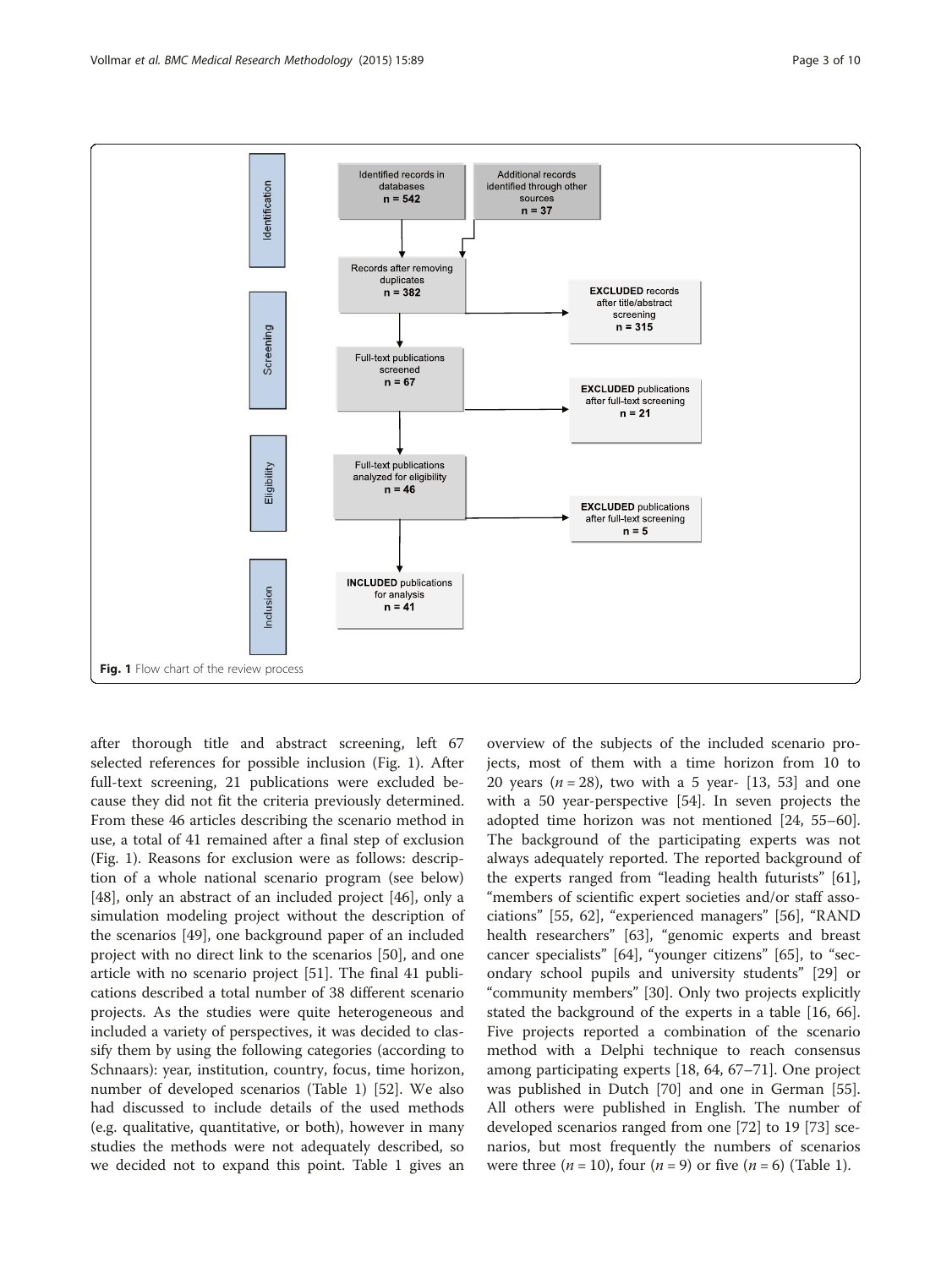<span id="page-2-0"></span>

after thorough title and abstract screening, left 67 selected references for possible inclusion (Fig. 1). After full-text screening, 21 publications were excluded because they did not fit the criteria previously determined. From these 46 articles describing the scenario method in use, a total of 41 remained after a final step of exclusion (Fig. 1). Reasons for exclusion were as follows: description of a whole national scenario program (see below) [[48\]](#page-8-0), only an abstract of an included project [[46](#page-8-0)], only a simulation modeling project without the description of the scenarios [[49\]](#page-8-0), one background paper of an included project with no direct link to the scenarios [\[50](#page-8-0)], and one article with no scenario project [\[51](#page-8-0)]. The final 41 publications described a total number of 38 different scenario projects. As the studies were quite heterogeneous and included a variety of perspectives, it was decided to classify them by using the following categories (according to Schnaars): year, institution, country, focus, time horizon, number of developed scenarios (Table [1](#page-3-0)) [[52\]](#page-8-0). We also had discussed to include details of the used methods (e.g. qualitative, quantitative, or both), however in many studies the methods were not adequately described, so we decided not to expand this point. Table [1](#page-3-0) gives an

overview of the subjects of the included scenario projects, most of them with a time horizon from 10 to 20 years ( $n = 28$ ), two with a 5 year- [\[13, 53](#page-8-0)] and one with a 50 year-perspective [\[54](#page-9-0)]. In seven projects the adopted time horizon was not mentioned [\[24,](#page-8-0) [55](#page-9-0)–[60](#page-9-0)]. The background of the participating experts was not always adequately reported. The reported background of the experts ranged from "leading health futurists" [\[61](#page-9-0)], "members of scientific expert societies and/or staff associations" [[55, 62\]](#page-9-0), "experienced managers" [[56\]](#page-9-0), "RAND health researchers" [[63](#page-9-0)], "genomic experts and breast cancer specialists" [[64\]](#page-9-0), "younger citizens" [[65](#page-9-0)], to "secondary school pupils and university students" [\[29](#page-8-0)] or "community members" [\[30\]](#page-8-0). Only two projects explicitly stated the background of the experts in a table [[16,](#page-8-0) [66](#page-9-0)]. Five projects reported a combination of the scenario method with a Delphi technique to reach consensus among participating experts [[18,](#page-8-0) [64](#page-9-0), [67](#page-9-0)–[71](#page-9-0)]. One project was published in Dutch [[70](#page-9-0)] and one in German [\[55](#page-9-0)]. All others were published in English. The number of developed scenarios ranged from one [[72](#page-9-0)] to 19 [[73](#page-9-0)] scenarios, but most frequently the numbers of scenarios were three  $(n = 10)$  $(n = 10)$  $(n = 10)$ , four  $(n = 9)$  or five  $(n = 6)$  (Table 1).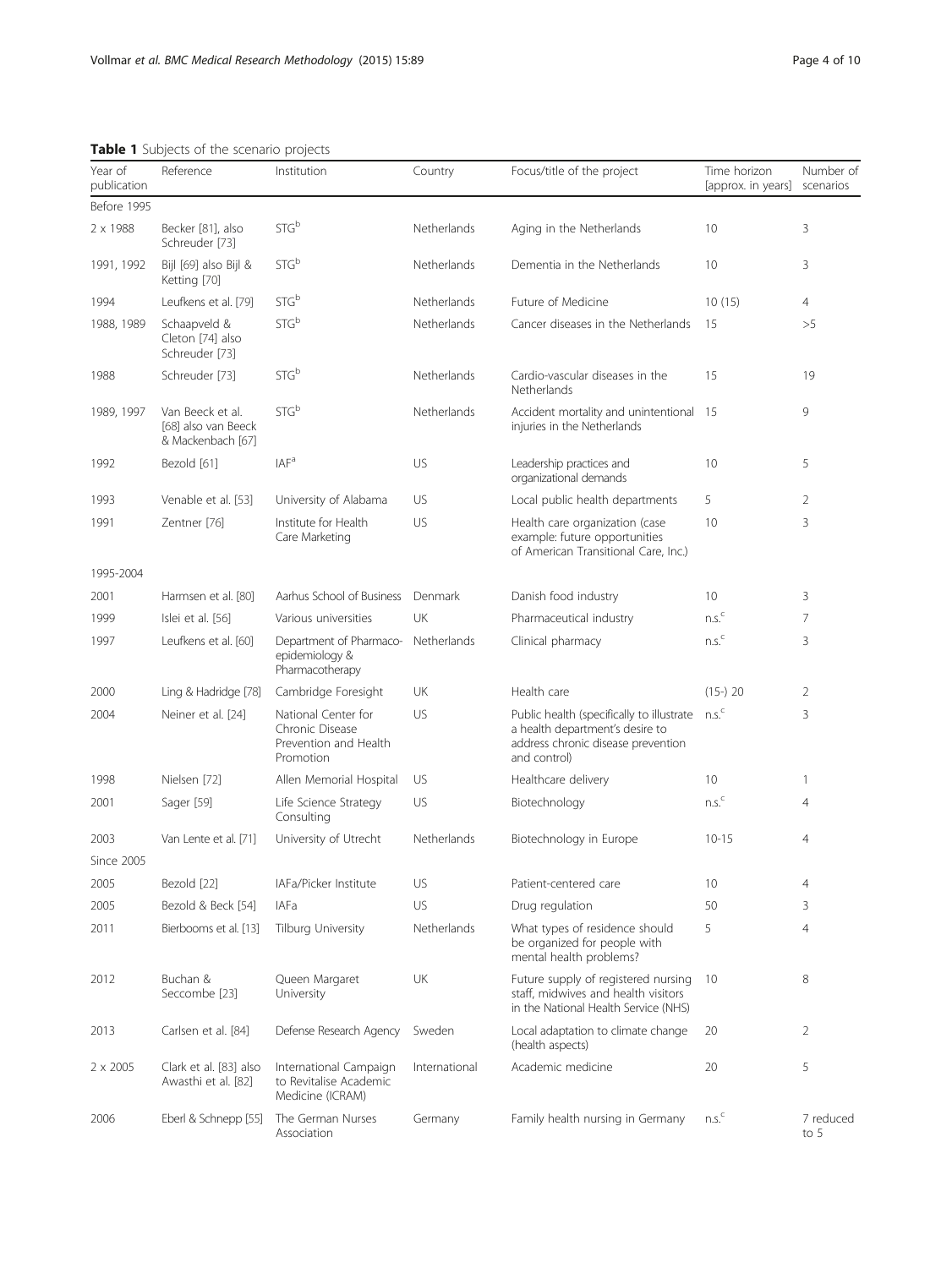## <span id="page-3-0"></span>Table 1 Subjects of the scenario projects

2 x 2005 Clark et al. [[83](#page-9-0)] also International Campaign

2006 Eberl & Schnepp [\[55\]](#page-9-0) The German Nurses

Awasthi et al. [\[82](#page-9-0)] to Revitalise Academic

Medicine (ICRAM)

Association

| Year of<br>publication | Reference                                                    | Institution                                                                  | Country     | Focus/title of the project                                                                                                         | Time horizon<br>[approx. in years] | Number of<br>scenarios |
|------------------------|--------------------------------------------------------------|------------------------------------------------------------------------------|-------------|------------------------------------------------------------------------------------------------------------------------------------|------------------------------------|------------------------|
| Before 1995            |                                                              |                                                                              |             |                                                                                                                                    |                                    |                        |
| 2 x 1988               | Becker [81], also<br>Schreuder [73]                          | STG <sup>b</sup>                                                             | Netherlands | Aging in the Netherlands                                                                                                           | 10                                 | 3                      |
| 1991, 1992             | Bijl [69] also Bijl &<br>Ketting [70]                        | STG <sup>b</sup>                                                             | Netherlands | Dementia in the Netherlands                                                                                                        | 10                                 | 3                      |
| 1994                   | Leufkens et al. [79]                                         | STG <sup>b</sup>                                                             | Netherlands | Future of Medicine                                                                                                                 | 10(15)                             | 4                      |
| 1988, 1989             | Schaapveld &<br>Cleton [74] also<br>Schreuder [73]           | STG <sup>b</sup>                                                             | Netherlands | Cancer diseases in the Netherlands                                                                                                 | 15                                 | >5                     |
| 1988                   | Schreuder [73]                                               | STG <sup>b</sup>                                                             | Netherlands | Cardio-vascular diseases in the<br>Netherlands                                                                                     | 15                                 | 19                     |
| 1989, 1997             | Van Beeck et al.<br>[68] also van Beeck<br>& Mackenbach [67] | STG <sup>b</sup>                                                             | Netherlands | Accident mortality and unintentional 15<br>injuries in the Netherlands                                                             |                                    | 9                      |
| 1992                   | Bezold [61]                                                  | IAF <sup>a</sup>                                                             | US          | Leadership practices and<br>organizational demands                                                                                 | 10                                 | 5                      |
| 1993                   | Venable et al. [53]                                          | University of Alabama                                                        | US          | Local public health departments                                                                                                    | 5                                  | 2                      |
| 1991                   | Zentner [76]                                                 | Institute for Health<br>Care Marketing                                       | US          | Health care organization (case<br>example: future opportunities<br>of American Transitional Care, Inc.)                            | 10                                 | 3                      |
| 1995-2004              |                                                              |                                                                              |             |                                                                                                                                    |                                    |                        |
| 2001                   | Harmsen et al. [80]                                          | Aarhus School of Business                                                    | Denmark     | Danish food industry                                                                                                               | 10                                 | 3                      |
| 1999                   | Islei et al. [56]                                            | Various universities                                                         | UK          | Pharmaceutical industry                                                                                                            | n.s. <sup>c</sup>                  | 7                      |
| 1997                   | Leufkens et al. [60]                                         | Department of Pharmaco-<br>epidemiology &<br>Pharmacotherapy                 | Netherlands | Clinical pharmacy                                                                                                                  | n.s. <sup>c</sup>                  | 3                      |
| 2000                   | Ling & Hadridge [78]                                         | Cambridge Foresight                                                          | UK          | Health care                                                                                                                        | $(15-)$ 20                         | 2                      |
| 2004                   | Neiner et al. [24]                                           | National Center for<br>Chronic Disease<br>Prevention and Health<br>Promotion | US          | Public health (specifically to illustrate<br>a health department's desire to<br>address chronic disease prevention<br>and control) | n.s. <sup>c</sup>                  | 3                      |
| 1998                   | Nielsen [72]                                                 | Allen Memorial Hospital                                                      | US          | Healthcare delivery                                                                                                                | 10                                 | 1                      |
| 2001                   | Sager [59]                                                   | Life Science Strategy<br>Consulting                                          | US          | Biotechnology                                                                                                                      | ns <sup>c</sup>                    | $\overline{4}$         |
| 2003                   | Van Lente et al. [71]                                        | University of Utrecht                                                        | Netherlands | Biotechnology in Europe                                                                                                            | $10 - 15$                          | $\overline{4}$         |
| <b>Since 2005</b>      |                                                              |                                                                              |             |                                                                                                                                    |                                    |                        |
| 2005                   | Bezold [22]                                                  | IAFa/Picker Institute                                                        | US          | Patient-centered care                                                                                                              | 10                                 | 4                      |
| 2005                   | Bezold & Beck [54]                                           | <b>IAFa</b>                                                                  | US          | Drug regulation                                                                                                                    | 50                                 | 3                      |
| 2011                   | Bierbooms et al. [13]                                        | Tilburg University                                                           | Netherlands | What types of residence should<br>be organized for people with<br>mental health problems?                                          | 5                                  | $\overline{4}$         |
| 2012                   | Buchan &<br>Seccombe [23]                                    | Queen Margaret<br>University                                                 | UK          | Future supply of registered nursing<br>staff, midwives and health visitors<br>in the National Health Service (NHS)                 | 10                                 | 8                      |
| 2013                   | Carlsen et al. [84]                                          | Defense Research Agency                                                      | Sweden      | Local adaptation to climate change                                                                                                 | 20                                 | $\overline{2}$         |

(health aspects)

Academic medicine 20 5

to 5

Germany Family health nursing in Germany n.s.<sup>c</sup> 7 reduced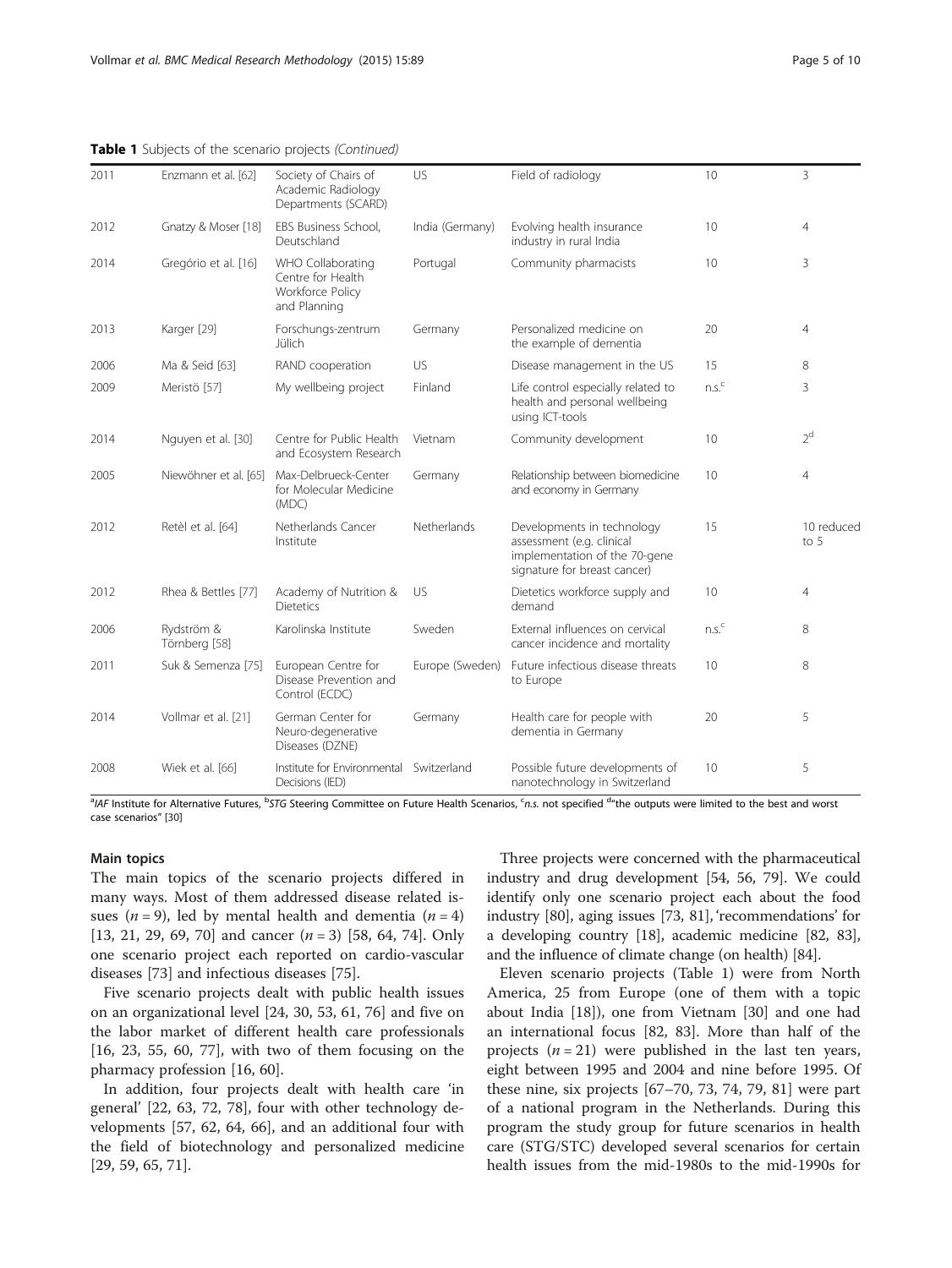|  |  |  |  |  |  | Table 1 Subjects of the scenario projects (Continued) |
|--|--|--|--|--|--|-------------------------------------------------------|
|--|--|--|--|--|--|-------------------------------------------------------|

| 2011 | Enzmann et al. [62]         | Society of Chairs of<br>Academic Radiology<br>Departments (SCARD)          | US              | Field of radiology                                                                                                       | 10                | 3                  |
|------|-----------------------------|----------------------------------------------------------------------------|-----------------|--------------------------------------------------------------------------------------------------------------------------|-------------------|--------------------|
| 2012 | Gnatzy & Moser [18]         | EBS Business School,<br>Deutschland                                        | India (Germany) | Evolving health insurance<br>industry in rural India                                                                     | 10                | $\overline{4}$     |
| 2014 | Gregório et al. [16]        | WHO Collaborating<br>Centre for Health<br>Workforce Policy<br>and Planning | Portugal        | Community pharmacists                                                                                                    | 10                | 3                  |
| 2013 | Karger [29]                 | Forschungs-zentrum<br>Jülich                                               | Germany         | Personalized medicine on<br>the example of dementia                                                                      | 20                | 4                  |
| 2006 | Ma & Seid [63]              | RAND cooperation                                                           | US              | Disease management in the US                                                                                             | 15                | 8                  |
| 2009 | Meristö [57]                | My wellbeing project                                                       | Finland         | Life control especially related to<br>health and personal wellbeing<br>using ICT-tools                                   | ns <sup>c</sup>   | 3                  |
| 2014 | Nguyen et al. [30]          | Centre for Public Health<br>and Ecosystem Research                         | Vietnam         | Community development                                                                                                    | 10                | 2 <sup>d</sup>     |
| 2005 | Niewöhner et al. [65]       | Max-Delbrueck-Center<br>for Molecular Medicine<br>(MDC)                    | Germany         | Relationship between biomedicine<br>and economy in Germany                                                               | 10                | $\overline{4}$     |
| 2012 | Retèl et al. [64]           | Netherlands Cancer<br>Institute                                            | Netherlands     | Developments in technology<br>assessment (e.g. clinical<br>implementation of the 70-gene<br>signature for breast cancer) | 15                | 10 reduced<br>to 5 |
| 2012 | Rhea & Bettles [77]         | Academy of Nutrition &<br><b>Dietetics</b>                                 | US.             | Dietetics workforce supply and<br>demand                                                                                 | 10                | 4                  |
| 2006 | Rydström &<br>Törnberg [58] | Karolinska Institute                                                       | Sweden          | External influences on cervical<br>cancer incidence and mortality                                                        | n.s. <sup>c</sup> | 8                  |
| 2011 | Suk & Semenza [75]          | European Centre for<br>Disease Prevention and<br>Control (ECDC)            | Europe (Sweden) | Future infectious disease threats<br>to Europe                                                                           | 10                | 8                  |
| 2014 | Vollmar et al. [21]         | German Center for<br>Neuro-degenerative<br>Diseases (DZNE)                 | Germany         | Health care for people with<br>dementia in Germany                                                                       | 20                | 5                  |
| 2008 | Wiek et al. [66]            | Institute for Environmental<br>Decisions (IED)                             | Switzerland     | Possible future developments of<br>nanotechnology in Switzerland                                                         | 10                | 5                  |

<sup>a</sup>/AF Institute for Alternative Futures, <sup>b</sup>STG Steering Committee on Future Health Scenarios, <sup>c</sup>n.s. not specified <sup>d</sup>"the outputs were limited to the best and worst case scenarios" [\[30](#page-8-0)]

## Main topics

The main topics of the scenario projects differed in many ways. Most of them addressed disease related issues ( $n = 9$ ), led by mental health and dementia ( $n = 4$ ) [[13, 21](#page-8-0), [29,](#page-8-0) [69](#page-9-0), [70\]](#page-9-0) and cancer  $(n = 3)$  [[58](#page-9-0), [64, 74\]](#page-9-0). Only one scenario project each reported on cardio-vascular diseases [\[73](#page-9-0)] and infectious diseases [\[75](#page-9-0)].

Five scenario projects dealt with public health issues on an organizational level [[24](#page-8-0), [30](#page-8-0), [53](#page-8-0), [61](#page-9-0), [76](#page-9-0)] and five on the labor market of different health care professionals [[16, 23,](#page-8-0) [55](#page-9-0), [60, 77\]](#page-9-0), with two of them focusing on the pharmacy profession [[16](#page-8-0), [60](#page-9-0)].

In addition, four projects dealt with health care 'in general' [\[22,](#page-8-0) [63, 72](#page-9-0), [78](#page-9-0)], four with other technology developments [\[57](#page-9-0), [62, 64](#page-9-0), [66\]](#page-9-0), and an additional four with the field of biotechnology and personalized medicine [[29,](#page-8-0) [59, 65](#page-9-0), [71](#page-9-0)].

Three projects were concerned with the pharmaceutical industry and drug development [[54](#page-9-0), [56, 79](#page-9-0)]. We could identify only one scenario project each about the food industry [\[80\]](#page-9-0), aging issues [\[73](#page-9-0), [81](#page-9-0)], 'recommendations' for a developing country [\[18\]](#page-8-0), academic medicine [\[82, 83](#page-9-0)], and the influence of climate change (on health) [\[84\]](#page-9-0).

Eleven scenario projects (Table [1](#page-3-0)) were from North America, 25 from Europe (one of them with a topic about India [\[18](#page-8-0)]), one from Vietnam [\[30\]](#page-8-0) and one had an international focus [[82, 83\]](#page-9-0). More than half of the projects  $(n = 21)$  were published in the last ten years, eight between 1995 and 2004 and nine before 1995. Of these nine, six projects [[67](#page-9-0)–[70, 73, 74](#page-9-0), [79, 81\]](#page-9-0) were part of a national program in the Netherlands. During this program the study group for future scenarios in health care (STG/STC) developed several scenarios for certain health issues from the mid-1980s to the mid-1990s for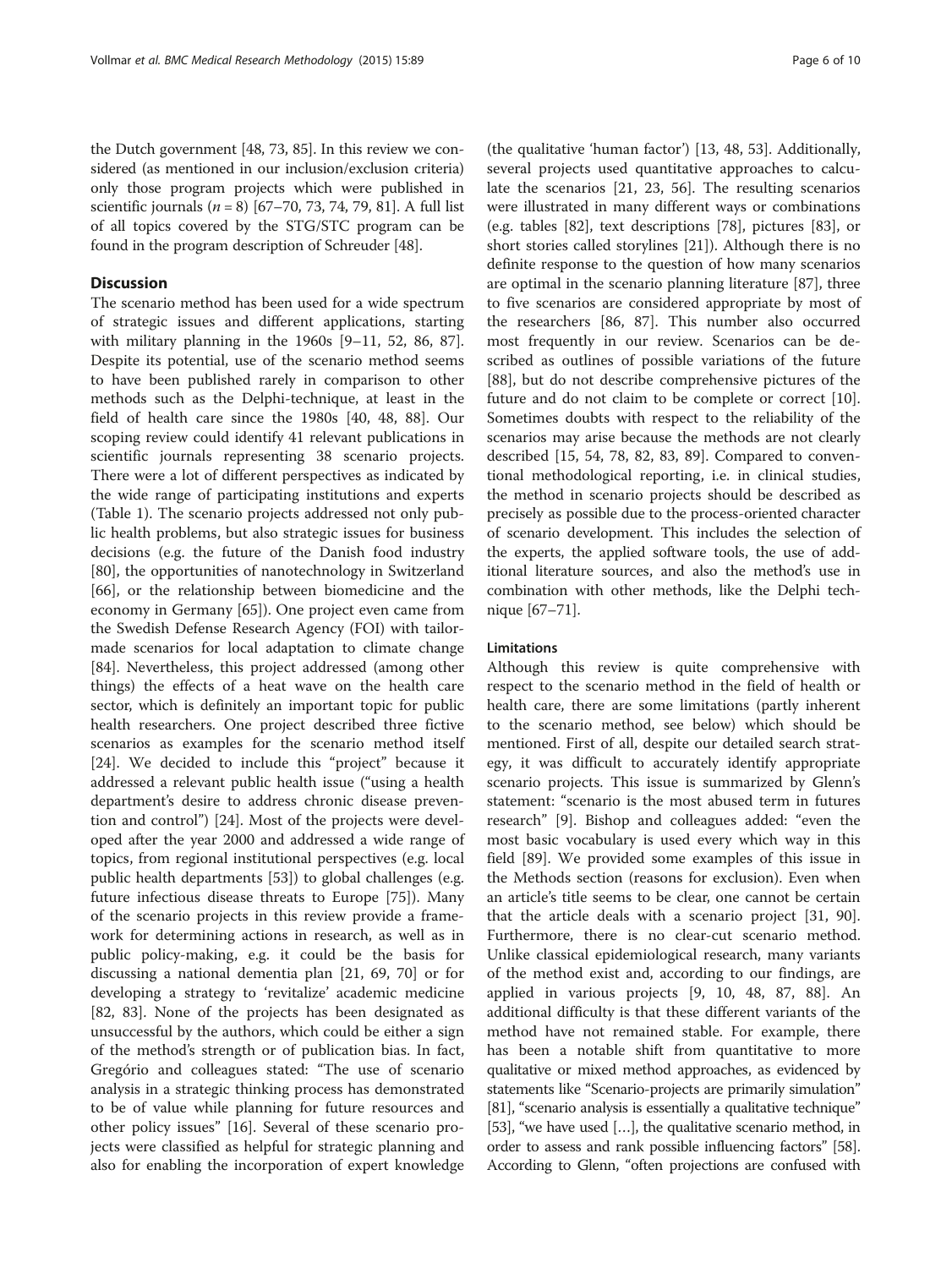## **Discussion**

The scenario method has been used for a wide spectrum of strategic issues and different applications, starting with military planning in the 1960s [[9](#page-8-0)–[11](#page-8-0), [52,](#page-8-0) [86, 87](#page-9-0)]. Despite its potential, use of the scenario method seems to have been published rarely in comparison to other methods such as the Delphi-technique, at least in the field of health care since the 1980s [[40, 48,](#page-8-0) [88\]](#page-9-0). Our scoping review could identify 41 relevant publications in scientific journals representing 38 scenario projects. There were a lot of different perspectives as indicated by the wide range of participating institutions and experts (Table [1](#page-3-0)). The scenario projects addressed not only public health problems, but also strategic issues for business decisions (e.g. the future of the Danish food industry [[80\]](#page-9-0), the opportunities of nanotechnology in Switzerland [[66\]](#page-9-0), or the relationship between biomedicine and the economy in Germany [[65](#page-9-0)]). One project even came from the Swedish Defense Research Agency (FOI) with tailormade scenarios for local adaptation to climate change [[84\]](#page-9-0). Nevertheless, this project addressed (among other things) the effects of a heat wave on the health care sector, which is definitely an important topic for public health researchers. One project described three fictive scenarios as examples for the scenario method itself [[24\]](#page-8-0). We decided to include this "project" because it addressed a relevant public health issue ("using a health department's desire to address chronic disease prevention and control") [\[24\]](#page-8-0). Most of the projects were developed after the year 2000 and addressed a wide range of topics, from regional institutional perspectives (e.g. local public health departments [[53\]](#page-8-0)) to global challenges (e.g. future infectious disease threats to Europe [[75](#page-9-0)]). Many of the scenario projects in this review provide a framework for determining actions in research, as well as in public policy-making, e.g. it could be the basis for discussing a national dementia plan [[21,](#page-8-0) [69, 70](#page-9-0)] or for developing a strategy to 'revitalize' academic medicine [[82, 83](#page-9-0)]. None of the projects has been designated as unsuccessful by the authors, which could be either a sign of the method's strength or of publication bias. In fact, Gregório and colleagues stated: "The use of scenario analysis in a strategic thinking process has demonstrated to be of value while planning for future resources and other policy issues" [\[16](#page-8-0)]. Several of these scenario projects were classified as helpful for strategic planning and also for enabling the incorporation of expert knowledge

(the qualitative 'human factor') [[13, 48, 53\]](#page-8-0). Additionally, several projects used quantitative approaches to calculate the scenarios [[21, 23](#page-8-0), [56\]](#page-9-0). The resulting scenarios were illustrated in many different ways or combinations (e.g. tables [\[82\]](#page-9-0), text descriptions [[78](#page-9-0)], pictures [[83](#page-9-0)], or short stories called storylines [[21\]](#page-8-0)). Although there is no definite response to the question of how many scenarios are optimal in the scenario planning literature [[87](#page-9-0)], three to five scenarios are considered appropriate by most of the researchers [[86, 87\]](#page-9-0). This number also occurred most frequently in our review. Scenarios can be described as outlines of possible variations of the future [[88\]](#page-9-0), but do not describe comprehensive pictures of the future and do not claim to be complete or correct [\[10](#page-8-0)]. Sometimes doubts with respect to the reliability of the scenarios may arise because the methods are not clearly described [\[15](#page-8-0), [54, 78](#page-9-0), [82](#page-9-0), [83, 89](#page-9-0)]. Compared to conventional methodological reporting, i.e. in clinical studies, the method in scenario projects should be described as precisely as possible due to the process-oriented character of scenario development. This includes the selection of the experts, the applied software tools, the use of additional literature sources, and also the method's use in combination with other methods, like the Delphi technique [[67](#page-9-0)–[71](#page-9-0)].

## Limitations

Although this review is quite comprehensive with respect to the scenario method in the field of health or health care, there are some limitations (partly inherent to the scenario method, see below) which should be mentioned. First of all, despite our detailed search strategy, it was difficult to accurately identify appropriate scenario projects. This issue is summarized by Glenn's statement: "scenario is the most abused term in futures research" [[9\]](#page-8-0). Bishop and colleagues added: "even the most basic vocabulary is used every which way in this field [[89\]](#page-9-0). We provided some examples of this issue in the [Methods](#page-1-0) section (reasons for exclusion). Even when an article's title seems to be clear, one cannot be certain that the article deals with a scenario project [[31](#page-8-0), [90](#page-9-0)]. Furthermore, there is no clear-cut scenario method. Unlike classical epidemiological research, many variants of the method exist and, according to our findings, are applied in various projects [\[9](#page-8-0), [10, 48,](#page-8-0) [87](#page-9-0), [88](#page-9-0)]. An additional difficulty is that these different variants of the method have not remained stable. For example, there has been a notable shift from quantitative to more qualitative or mixed method approaches, as evidenced by statements like "Scenario-projects are primarily simulation" [[81](#page-9-0)], "scenario analysis is essentially a qualitative technique" [[53](#page-8-0)], "we have used […], the qualitative scenario method, in order to assess and rank possible influencing factors" [\[58](#page-9-0)]. According to Glenn, "often projections are confused with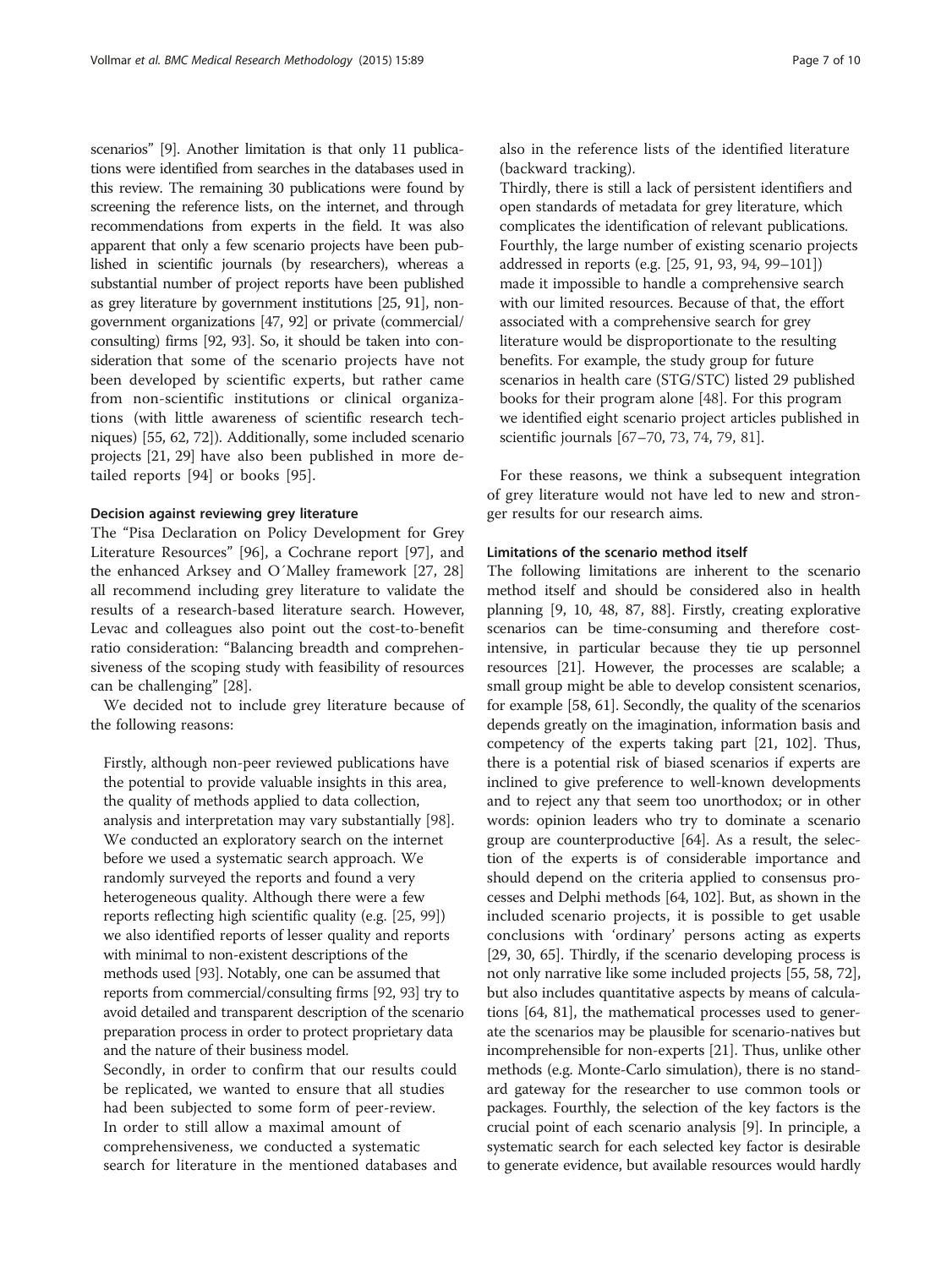scenarios" [\[9\]](#page-8-0). Another limitation is that only 11 publications were identified from searches in the databases used in this review. The remaining 30 publications were found by screening the reference lists, on the internet, and through recommendations from experts in the field. It was also apparent that only a few scenario projects have been published in scientific journals (by researchers), whereas a substantial number of project reports have been published as grey literature by government institutions [\[25,](#page-8-0) [91](#page-9-0)], nongovernment organizations [[47](#page-8-0), [92](#page-9-0)] or private (commercial/ consulting) firms [\[92, 93](#page-9-0)]. So, it should be taken into consideration that some of the scenario projects have not been developed by scientific experts, but rather came from non-scientific institutions or clinical organizations (with little awareness of scientific research techniques) [\[55, 62](#page-9-0), [72\]](#page-9-0)). Additionally, some included scenario projects [[21](#page-8-0), [29](#page-8-0)] have also been published in more detailed reports [\[94](#page-9-0)] or books [\[95](#page-9-0)].

#### Decision against reviewing grey literature

The "Pisa Declaration on Policy Development for Grey Literature Resources" [[96\]](#page-9-0), a Cochrane report [\[97](#page-9-0)], and the enhanced Arksey and O´Malley framework [[27](#page-8-0), [28](#page-8-0)] all recommend including grey literature to validate the results of a research-based literature search. However, Levac and colleagues also point out the cost-to-benefit ratio consideration: "Balancing breadth and comprehensiveness of the scoping study with feasibility of resources can be challenging" [[28](#page-8-0)].

We decided not to include grey literature because of the following reasons:

Firstly, although non-peer reviewed publications have the potential to provide valuable insights in this area, the quality of methods applied to data collection, analysis and interpretation may vary substantially [[98](#page-9-0)]. We conducted an exploratory search on the internet before we used a systematic search approach. We randomly surveyed the reports and found a very heterogeneous quality. Although there were a few reports reflecting high scientific quality (e.g. [\[25,](#page-8-0) [99\]](#page-9-0)) we also identified reports of lesser quality and reports with minimal to non-existent descriptions of the methods used [\[93](#page-9-0)]. Notably, one can be assumed that reports from commercial/consulting firms [\[92,](#page-9-0) [93\]](#page-9-0) try to avoid detailed and transparent description of the scenario preparation process in order to protect proprietary data and the nature of their business model. Secondly, in order to confirm that our results could be replicated, we wanted to ensure that all studies had been subjected to some form of peer-review. In order to still allow a maximal amount of comprehensiveness, we conducted a systematic search for literature in the mentioned databases and

also in the reference lists of the identified literature (backward tracking).

Thirdly, there is still a lack of persistent identifiers and open standards of metadata for grey literature, which complicates the identification of relevant publications. Fourthly, the large number of existing scenario projects addressed in reports (e.g. [[25](#page-8-0), [91](#page-9-0), [93,](#page-9-0) [94](#page-9-0), [99](#page-9-0)–[101\]](#page-9-0)) made it impossible to handle a comprehensive search with our limited resources. Because of that, the effort associated with a comprehensive search for grey literature would be disproportionate to the resulting benefits. For example, the study group for future scenarios in health care (STG/STC) listed 29 published books for their program alone [\[48\]](#page-8-0). For this program we identified eight scenario project articles published in scientific journals [\[67](#page-9-0)–[70](#page-9-0), [73,](#page-9-0) [74,](#page-9-0) [79](#page-9-0), [81](#page-9-0)].

For these reasons, we think a subsequent integration of grey literature would not have led to new and stronger results for our research aims.

## Limitations of the scenario method itself

The following limitations are inherent to the scenario method itself and should be considered also in health planning [\[9](#page-8-0), [10](#page-8-0), [48,](#page-8-0) [87, 88](#page-9-0)]. Firstly, creating explorative scenarios can be time-consuming and therefore costintensive, in particular because they tie up personnel resources [\[21](#page-8-0)]. However, the processes are scalable; a small group might be able to develop consistent scenarios, for example [\[58, 61](#page-9-0)]. Secondly, the quality of the scenarios depends greatly on the imagination, information basis and competency of the experts taking part [[21](#page-8-0), [102\]](#page-9-0). Thus, there is a potential risk of biased scenarios if experts are inclined to give preference to well-known developments and to reject any that seem too unorthodox; or in other words: opinion leaders who try to dominate a scenario group are counterproductive [\[64\]](#page-9-0). As a result, the selection of the experts is of considerable importance and should depend on the criteria applied to consensus processes and Delphi methods [\[64, 102](#page-9-0)]. But, as shown in the included scenario projects, it is possible to get usable conclusions with 'ordinary' persons acting as experts [[29](#page-8-0), [30,](#page-8-0) [65\]](#page-9-0). Thirdly, if the scenario developing process is not only narrative like some included projects [[55](#page-9-0), [58, 72](#page-9-0)], but also includes quantitative aspects by means of calculations [\[64, 81\]](#page-9-0), the mathematical processes used to generate the scenarios may be plausible for scenario-natives but incomprehensible for non-experts [[21](#page-8-0)]. Thus, unlike other methods (e.g. Monte-Carlo simulation), there is no standard gateway for the researcher to use common tools or packages. Fourthly, the selection of the key factors is the crucial point of each scenario analysis [\[9](#page-8-0)]. In principle, a systematic search for each selected key factor is desirable to generate evidence, but available resources would hardly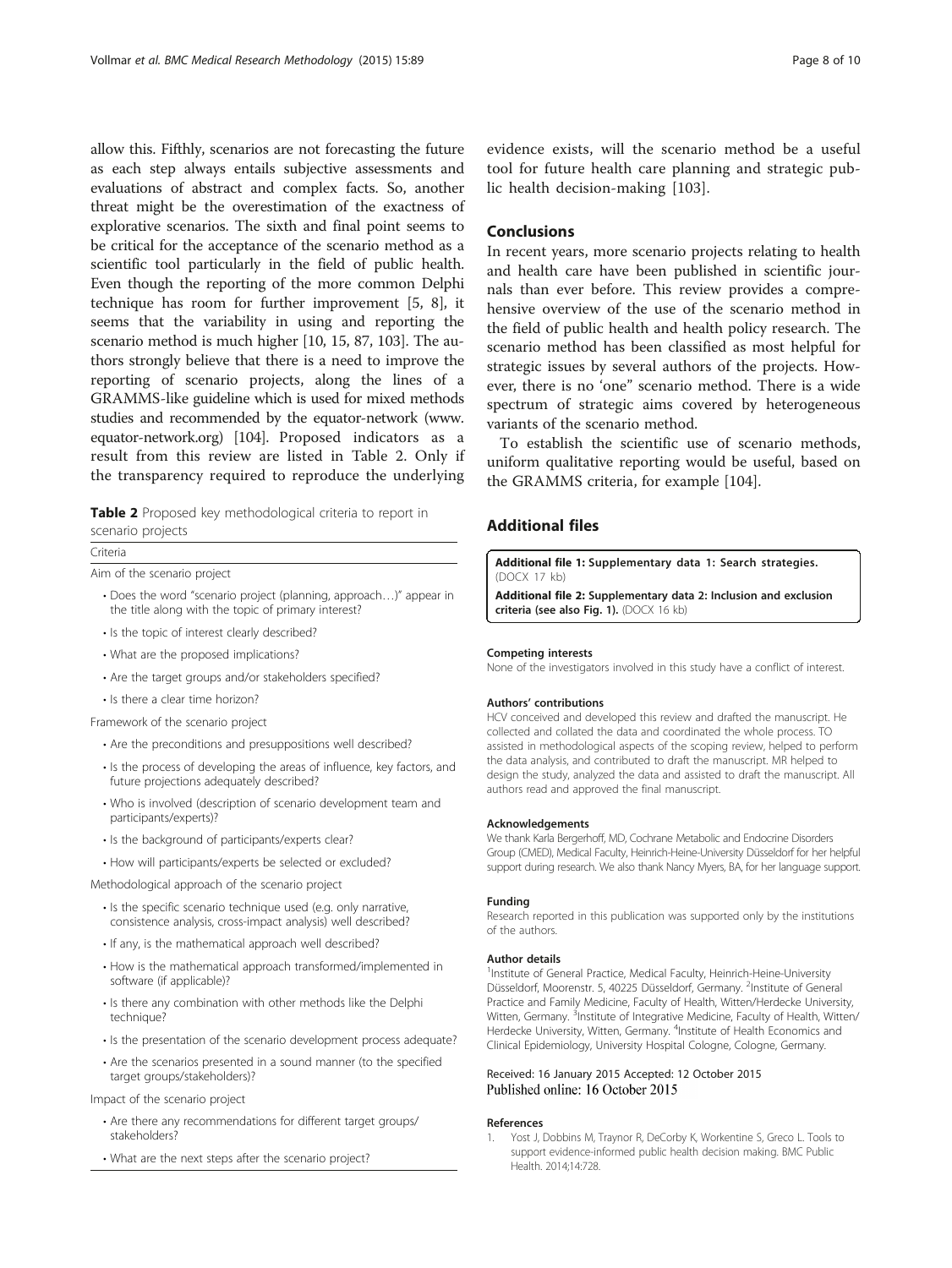<span id="page-7-0"></span>allow this. Fifthly, scenarios are not forecasting the future as each step always entails subjective assessments and evaluations of abstract and complex facts. So, another threat might be the overestimation of the exactness of explorative scenarios. The sixth and final point seems to be critical for the acceptance of the scenario method as a scientific tool particularly in the field of public health. Even though the reporting of the more common Delphi technique has room for further improvement [[5, 8\]](#page-8-0), it seems that the variability in using and reporting the scenario method is much higher [\[10](#page-8-0), [15,](#page-8-0) [87](#page-9-0), [103\]](#page-9-0). The authors strongly believe that there is a need to improve the reporting of scenario projects, along the lines of a GRAMMS-like guideline which is used for mixed methods studies and recommended by the equator-network [\(www.](http://www.equator-network.org) [equator-network.org\)](http://www.equator-network.org) [\[104](#page-9-0)]. Proposed indicators as a result from this review are listed in Table 2. Only if the transparency required to reproduce the underlying

Table 2 Proposed key methodological criteria to report in scenario projects

#### Criteria

Aim of the scenario project

- Does the word "scenario project (planning, approach…)" appear in the title along with the topic of primary interest?
- Is the topic of interest clearly described?
- What are the proposed implications?
- Are the target groups and/or stakeholders specified?
- Is there a clear time horizon?

Framework of the scenario project

- Are the preconditions and presuppositions well described?
- Is the process of developing the areas of influence, key factors, and future projections adequately described?
- Who is involved (description of scenario development team and participants/experts)?
- Is the background of participants/experts clear?
- How will participants/experts be selected or excluded?

Methodological approach of the scenario project

- Is the specific scenario technique used (e.g. only narrative, consistence analysis, cross-impact analysis) well described?
- If any, is the mathematical approach well described?
- How is the mathematical approach transformed/implemented in software (if applicable)?
- Is there any combination with other methods like the Delphi technique?
- Is the presentation of the scenario development process adequate?
- Are the scenarios presented in a sound manner (to the specified target groups/stakeholders)?

Impact of the scenario project

- Are there any recommendations for different target groups/ stakeholders?
- What are the next steps after the scenario project?

evidence exists, will the scenario method be a useful tool for future health care planning and strategic public health decision-making [[103\]](#page-9-0).

## **Conclusions**

In recent years, more scenario projects relating to health and health care have been published in scientific journals than ever before. This review provides a comprehensive overview of the use of the scenario method in the field of public health and health policy research. The scenario method has been classified as most helpful for strategic issues by several authors of the projects. However, there is no 'one" scenario method. There is a wide spectrum of strategic aims covered by heterogeneous variants of the scenario method.

To establish the scientific use of scenario methods, uniform qualitative reporting would be useful, based on the GRAMMS criteria, for example [\[104](#page-9-0)].

## Additional files

[Additional file 1:](dx.doi.org/10.1186/s12874-015-0083-1) Supplementary data 1: Search strategies. (DOCX 17 kb)

[Additional file 2:](dx.doi.org/10.1186/s12874-015-0083-1) Supplementary data 2: Inclusion and exclusion criteria (see also Fig. [1](#page-2-0)). (DOCX 16 kb)

#### Competing interests

None of the investigators involved in this study have a conflict of interest.

#### Authors' contributions

HCV conceived and developed this review and drafted the manuscript. He collected and collated the data and coordinated the whole process. TO assisted in methodological aspects of the scoping review, helped to perform the data analysis, and contributed to draft the manuscript. MR helped to design the study, analyzed the data and assisted to draft the manuscript. All authors read and approved the final manuscript.

#### Acknowledgements

We thank Karla Bergerhoff, MD, Cochrane Metabolic and Endocrine Disorders Group (CMED), Medical Faculty, Heinrich-Heine-University Düsseldorf for her helpful support during research. We also thank Nancy Myers, BA, for her language support.

#### Funding

Research reported in this publication was supported only by the institutions of the authors.

## Author details

<sup>1</sup>Institute of General Practice, Medical Faculty, Heinrich-Heine-University Düsseldorf, Moorenstr. 5, 40225 Düsseldorf, Germany. <sup>2</sup>Institute of General Practice and Family Medicine, Faculty of Health, Witten/Herdecke University, Witten, Germany. <sup>3</sup>Institute of Integrative Medicine, Faculty of Health, Witten/ Herdecke University, Witten, Germany. <sup>4</sup>Institute of Health Economics and Clinical Epidemiology, University Hospital Cologne, Cologne, Germany.

## Received: 16 January 2015 Accepted: 12 October 2015 Published online: 16 October 2015

#### References

1. Yost J, Dobbins M, Traynor R, DeCorby K, Workentine S, Greco L. Tools to support evidence-informed public health decision making. BMC Public Health. 2014;14:728.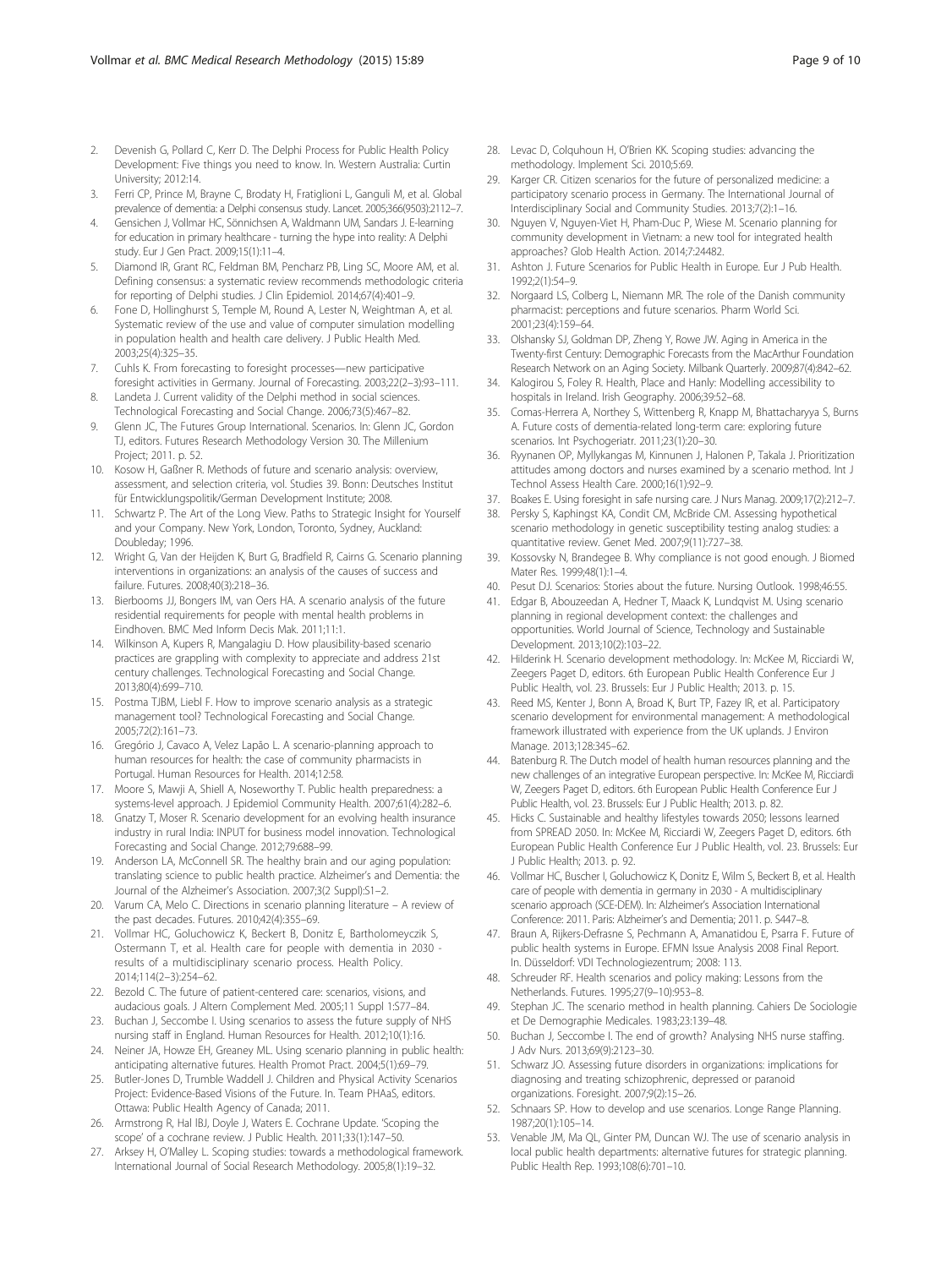- <span id="page-8-0"></span>3. Ferri CP, Prince M, Brayne C, Brodaty H, Fratiglioni L, Ganguli M, et al. Global prevalence of dementia: a Delphi consensus study. Lancet. 2005;366(9503):2112–7.
- 4. Gensichen J, Vollmar HC, Sönnichsen A, Waldmann UM, Sandars J. E-learning for education in primary healthcare - turning the hype into reality: A Delphi study. Eur J Gen Pract. 2009;15(1):11–4.
- 5. Diamond IR, Grant RC, Feldman BM, Pencharz PB, Ling SC, Moore AM, et al. Defining consensus: a systematic review recommends methodologic criteria for reporting of Delphi studies. J Clin Epidemiol. 2014;67(4):401–9.
- 6. Fone D, Hollinghurst S, Temple M, Round A, Lester N, Weightman A, et al. Systematic review of the use and value of computer simulation modelling in population health and health care delivery. J Public Health Med. 2003;25(4):325–35.
- 7. Cuhls K. From forecasting to foresight processes—new participative foresight activities in Germany. Journal of Forecasting. 2003;22(2–3):93–111.
- Landeta J. Current validity of the Delphi method in social sciences. Technological Forecasting and Social Change. 2006;73(5):467–82.
- 9. Glenn JC, The Futures Group International. Scenarios. In: Glenn JC, Gordon TJ, editors. Futures Research Methodology Version 30. The Millenium Project; 2011. p. 52.
- 10. Kosow H, Gaßner R. Methods of future and scenario analysis: overview, assessment, and selection criteria, vol. Studies 39. Bonn: Deutsches Institut für Entwicklungspolitik/German Development Institute; 2008.
- 11. Schwartz P. The Art of the Long View. Paths to Strategic Insight for Yourself and your Company. New York, London, Toronto, Sydney, Auckland: Doubleday; 1996.
- 12. Wright G, Van der Heijden K, Burt G, Bradfield R, Cairns G. Scenario planning interventions in organizations: an analysis of the causes of success and failure. Futures. 2008;40(3):218–36.
- 13. Bierbooms JJ, Bongers IM, van Oers HA. A scenario analysis of the future residential requirements for people with mental health problems in Eindhoven. BMC Med Inform Decis Mak. 2011;11:1.
- 14. Wilkinson A, Kupers R, Mangalagiu D. How plausibility-based scenario practices are grappling with complexity to appreciate and address 21st century challenges. Technological Forecasting and Social Change. 2013;80(4):699–710.
- 15. Postma TJBM, Liebl F. How to improve scenario analysis as a strategic management tool? Technological Forecasting and Social Change. 2005;72(2):161–73.
- 16. Gregório J, Cavaco A, Velez Lapão L. A scenario-planning approach to human resources for health: the case of community pharmacists in Portugal. Human Resources for Health. 2014;12:58.
- 17. Moore S, Mawji A, Shiell A, Noseworthy T. Public health preparedness: a systems-level approach. J Epidemiol Community Health. 2007;61(4):282–6.
- 18. Gnatzy T, Moser R. Scenario development for an evolving health insurance industry in rural India: INPUT for business model innovation. Technological Forecasting and Social Change. 2012;79:688–99.
- 19. Anderson LA, McConnell SR. The healthy brain and our aging population: translating science to public health practice. Alzheimer's and Dementia: the Journal of the Alzheimer's Association. 2007;3(2 Suppl):S1–2.
- 20. Varum CA, Melo C. Directions in scenario planning literature A review of the past decades. Futures. 2010;42(4):355–69.
- 21. Vollmar HC, Goluchowicz K, Beckert B, Donitz E, Bartholomeyczik S, Ostermann T, et al. Health care for people with dementia in 2030 results of a multidisciplinary scenario process. Health Policy. 2014;114(2–3):254–62.
- 22. Bezold C. The future of patient-centered care: scenarios, visions, and audacious goals. J Altern Complement Med. 2005;11 Suppl 1:S77–84.
- 23. Buchan J, Seccombe I. Using scenarios to assess the future supply of NHS nursing staff in England. Human Resources for Health. 2012;10(1):16.
- 24. Neiner JA, Howze EH, Greaney ML. Using scenario planning in public health: anticipating alternative futures. Health Promot Pract. 2004;5(1):69–79.
- 25. Butler-Jones D, Trumble Waddell J. Children and Physical Activity Scenarios Project: Evidence-Based Visions of the Future. In. Team PHAaS, editors. Ottawa: Public Health Agency of Canada; 2011.
- 26. Armstrong R, Hal lBJ, Doyle J, Waters E. Cochrane Update. 'Scoping the scope' of a cochrane review. J Public Health. 2011;33(1):147–50.
- 27. Arksey H, O'Malley L. Scoping studies: towards a methodological framework. International Journal of Social Research Methodology. 2005;8(1):19–32.
- 28. Levac D, Colquhoun H, O'Brien KK. Scoping studies: advancing the methodology. Implement Sci. 2010;5:69.
- 29. Karger CR. Citizen scenarios for the future of personalized medicine: a participatory scenario process in Germany. The International Journal of Interdisciplinary Social and Community Studies. 2013;7(2):1–16.
- 30. Nguyen V, Nguyen-Viet H, Pham-Duc P, Wiese M. Scenario planning for community development in Vietnam: a new tool for integrated health approaches? Glob Health Action. 2014;7:24482.
- 31. Ashton J. Future Scenarios for Public Health in Europe. Eur J Pub Health. 1992;2(1):54–9.
- 32. Norgaard LS, Colberg L, Niemann MR. The role of the Danish community pharmacist: perceptions and future scenarios. Pharm World Sci. 2001;23(4):159–64.
- 33. Olshansky SJ, Goldman DP, Zheng Y, Rowe JW. Aging in America in the Twenty-first Century: Demographic Forecasts from the MacArthur Foundation Research Network on an Aging Society. Milbank Quarterly. 2009;87(4):842–62.
- 34. Kalogirou S, Foley R. Health, Place and Hanly: Modelling accessibility to hospitals in Ireland. Irish Geography. 2006;39:52–68.
- 35. Comas-Herrera A, Northey S, Wittenberg R, Knapp M, Bhattacharyya S, Burns A. Future costs of dementia-related long-term care: exploring future scenarios. Int Psychogeriatr. 2011;23(1):20–30.
- 36. Ryynanen OP, Myllykangas M, Kinnunen J, Halonen P, Takala J. Prioritization attitudes among doctors and nurses examined by a scenario method. Int J Technol Assess Health Care. 2000;16(1):92–9.
- 37. Boakes E. Using foresight in safe nursing care. J Nurs Manag. 2009;17(2):212–7.
- 38. Persky S, Kaphingst KA, Condit CM, McBride CM. Assessing hypothetical scenario methodology in genetic susceptibility testing analog studies: a quantitative review. Genet Med. 2007;9(11):727–38.
- 39. Kossovsky N, Brandegee B. Why compliance is not good enough. J Biomed Mater Res. 1999;48(1):1-4.
- 40. Pesut DJ. Scenarios: Stories about the future. Nursing Outlook. 1998;46:55.
- 41. Edgar B, Abouzeedan A, Hedner T, Maack K, Lundqvist M. Using scenario planning in regional development context: the challenges and opportunities. World Journal of Science, Technology and Sustainable Development. 2013;10(2):103–22.
- 42. Hilderink H. Scenario development methodology. In: McKee M, Ricciardi W, Zeegers Paget D, editors. 6th European Public Health Conference Eur J Public Health, vol. 23. Brussels: Eur J Public Health; 2013. p. 15.
- 43. Reed MS, Kenter J, Bonn A, Broad K, Burt TP, Fazey IR, et al. Participatory scenario development for environmental management: A methodological framework illustrated with experience from the UK uplands. J Environ Manage. 2013;128:345–62.
- 44. Batenburg R. The Dutch model of health human resources planning and the new challenges of an integrative European perspective. In: McKee M, Ricciardi W, Zeegers Paget D, editors. 6th European Public Health Conference Eur J Public Health, vol. 23. Brussels: Eur J Public Health; 2013. p. 82.
- 45. Hicks C. Sustainable and healthy lifestyles towards 2050; lessons learned from SPREAD 2050. In: McKee M, Ricciardi W, Zeegers Paget D, editors. 6th European Public Health Conference Eur J Public Health, vol. 23. Brussels: Eur J Public Health; 2013. p. 92.
- 46. Vollmar HC, Buscher I, Goluchowicz K, Donitz E, Wilm S, Beckert B, et al. Health care of people with dementia in germany in 2030 - A multidisciplinary scenario approach (SCE-DEM). In: Alzheimer's Association International Conference: 2011. Paris: Alzheimer's and Dementia; 2011. p. S447–8.
- 47. Braun A, Rijkers-Defrasne S, Pechmann A, Amanatidou E, Psarra F. Future of public health systems in Europe. EFMN Issue Analysis 2008 Final Report. In. Düsseldorf: VDI Technologiezentrum; 2008: 113.
- 48. Schreuder RF. Health scenarios and policy making: Lessons from the Netherlands. Futures. 1995;27(9–10):953–8.
- 49. Stephan JC. The scenario method in health planning. Cahiers De Sociologie et De Demographie Medicales. 1983;23:139–48.
- 50. Buchan J, Seccombe I. The end of growth? Analysing NHS nurse staffing. J Adv Nurs. 2013;69(9):2123–30.
- 51. Schwarz JO. Assessing future disorders in organizations: implications for diagnosing and treating schizophrenic, depressed or paranoid organizations. Foresight. 2007;9(2):15–26.
- 52. Schnaars SP. How to develop and use scenarios. Longe Range Planning. 1987;20(1):105–14.
- 53. Venable JM, Ma QL, Ginter PM, Duncan WJ. The use of scenario analysis in local public health departments: alternative futures for strategic planning. Public Health Rep. 1993;108(6):701–10.